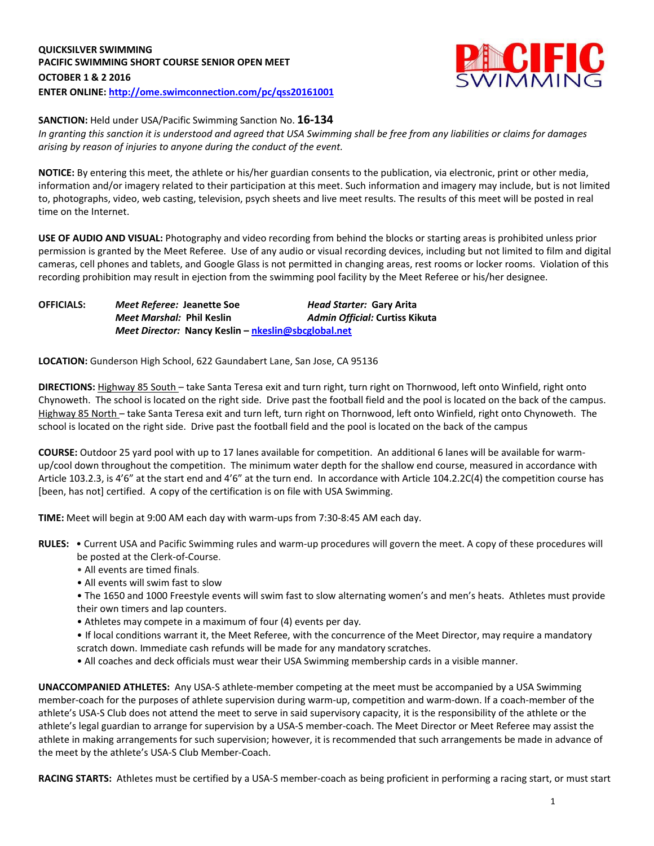

#### **SANCTION:** Held under USA/Pacific Swimming Sanction No. **16-134**

*In granting this sanction it is understood and agreed that USA Swimming shall be free from any liabilities or claims for damages arising by reason of injuries to anyone during the conduct of the event.*

**NOTICE:** By entering this meet, the athlete or his/her guardian consents to the publication, via electronic, print or other media, information and/or imagery related to their participation at this meet. Such information and imagery may include, but is not limited to, photographs, video, web casting, television, psych sheets and live meet results. The results of this meet will be posted in real time on the Internet.

**USE OF AUDIO AND VISUAL:** Photography and video recording from behind the blocks or starting areas is prohibited unless prior permission is granted by the Meet Referee. Use of any audio or visual recording devices, including but not limited to film and digital cameras, cell phones and tablets, and Google Glass is not permitted in changing areas, rest rooms or locker rooms. Violation of this recording prohibition may result in ejection from the swimming pool facility by the Meet Referee or his/her designee.

**OFFICIALS:** *Meet Referee:* **Jeanette Soe** *Head Starter:* **Gary Arita** *Meet Marshal:* **Phil Keslin** *Admin Official:* **Curtiss Kikuta** *Meet Director:* **Nancy Keslin – [nkeslin@sbcglobal.net](mailto:nkeslin@sbcglobal.net)**

**LOCATION:** Gunderson High School, 622 Gaundabert Lane, San Jose, CA 95136

**DIRECTIONS:** Highway 85 South – take Santa Teresa exit and turn right, turn right on Thornwood, left onto Winfield, right onto Chynoweth. The school is located on the right side. Drive past the football field and the pool is located on the back of the campus. Highway 85 North – take Santa Teresa exit and turn left, turn right on Thornwood, left onto Winfield, right onto Chynoweth. The school is located on the right side. Drive past the football field and the pool is located on the back of the campus

**COURSE:** Outdoor 25 yard pool with up to 17 lanes available for competition. An additional 6 lanes will be available for warmup/cool down throughout the competition. The minimum water depth for the shallow end course, measured in accordance with Article 103.2.3, is 4'6" at the start end and 4'6" at the turn end. In accordance with Article 104.2.2C(4) the competition course has [been, has not] certified. A copy of the certification is on file with USA Swimming.

**TIME:** Meet will begin at 9:00 AM each day with warm-ups from 7:30-8:45 AM each day.

- **RULES:** Current USA and Pacific Swimming rules and warm-up procedures will govern the meet. A copy of these procedures will be posted at the Clerk-of-Course.
	- All events are timed finals.
	- All events will swim fast to slow
	- The 1650 and 1000 Freestyle events will swim fast to slow alternating women's and men's heats. Athletes must provide their own timers and lap counters.
	- Athletes may compete in a maximum of four (4) events per day.

• If local conditions warrant it, the Meet Referee, with the concurrence of the Meet Director, may require a mandatory scratch down. Immediate cash refunds will be made for any mandatory scratches.

• All coaches and deck officials must wear their USA Swimming membership cards in a visible manner.

**UNACCOMPANIED ATHLETES:** Any USA-S athlete-member competing at the meet must be accompanied by a USA Swimming member-coach for the purposes of athlete supervision during warm-up, competition and warm-down. If a coach-member of the athlete's USA-S Club does not attend the meet to serve in said supervisory capacity, it is the responsibility of the athlete or the athlete's legal guardian to arrange for supervision by a USA-S member-coach. The Meet Director or Meet Referee may assist the athlete in making arrangements for such supervision; however, it is recommended that such arrangements be made in advance of the meet by the athlete's USA-S Club Member-Coach.

RACING STARTS: Athletes must be certified by a USA-S member-coach as being proficient in performing a racing start, or must start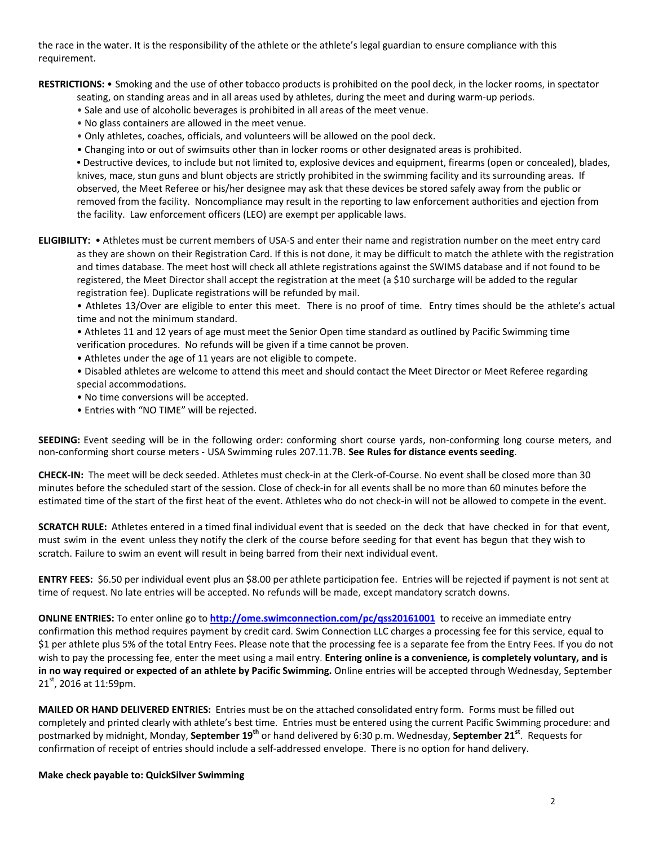the race in the water. It is the responsibility of the athlete or the athlete's legal guardian to ensure compliance with this requirement.

**RESTRICTIONS:** • Smoking and the use of other tobacco products is prohibited on the pool deck, in the locker rooms, in spectator

- seating, on standing areas and in all areas used by athletes, during the meet and during warm-up periods.
- Sale and use of alcoholic beverages is prohibited in all areas of the meet venue.
- No glass containers are allowed in the meet venue.
- Only athletes, coaches, officials, and volunteers will be allowed on the pool deck.
- Changing into or out of swimsuits other than in locker rooms or other designated areas is prohibited.

**•** Destructive devices, to include but not limited to, explosive devices and equipment, firearms (open or concealed), blades, knives, mace, stun guns and blunt objects are strictly prohibited in the swimming facility and its surrounding areas. If observed, the Meet Referee or his/her designee may ask that these devices be stored safely away from the public or removed from the facility. Noncompliance may result in the reporting to law enforcement authorities and ejection from the facility. Law enforcement officers (LEO) are exempt per applicable laws.

**ELIGIBILITY:** • Athletes must be current members of USA-S and enter their name and registration number on the meet entry card as they are shown on their Registration Card. If this is not done, it may be difficult to match the athlete with the registration and times database. The meet host will check all athlete registrations against the SWIMS database and if not found to be registered, the Meet Director shall accept the registration at the meet (a \$10 surcharge will be added to the regular registration fee). Duplicate registrations will be refunded by mail.

• Athletes 13/Over are eligible to enter this meet. There is no proof of time. Entry times should be the athlete's actual time and not the minimum standard.

• Athletes 11 and 12 years of age must meet the Senior Open time standard as outlined by Pacific Swimming time verification procedures. No refunds will be given if a time cannot be proven.

- Athletes under the age of 11 years are not eligible to compete.
- Disabled athletes are welcome to attend this meet and should contact the Meet Director or Meet Referee regarding special accommodations.
- No time conversions will be accepted.
- Entries with "NO TIME" will be rejected.

**SEEDING:** Event seeding will be in the following order: conforming short course yards, non-conforming long course meters, and non-conforming short course meters - USA Swimming rules 207.11.7B. **See Rules for distance events seeding**.

**CHECK-IN:** The meet will be deck seeded. Athletes must check-in at the Clerk-of-Course. No event shall be closed more than 30 minutes before the scheduled start of the session. Close of check‐in for all events shall be no more than 60 minutes before the estimated time of the start of the first heat of the event. Athletes who do not check-in will not be allowed to compete in the event.

**SCRATCH RULE:** Athletes entered in a timed final individual event that is seeded on the deck that have checked in for that event, must swim in the event unless they notify the clerk of the course before seeding for that event has begun that they wish to scratch. Failure to swim an event will result in being barred from their next individual event.

**ENTRY FEES:** \$6.50 per individual event plus an \$8.00 per athlete participation fee. Entries will be rejected if payment is not sent at time of request. No late entries will be accepted. No refunds will be made, except mandatory scratch downs.

**ONLINE ENTRIES:** To enter online go to **<http://ome.swimconnection.com/pc/qss20161001>** to receive an immediate entry confirmation this method requires payment by credit card. Swim Connection LLC charges a processing fee for this service, equal to \$1 per athlete plus 5% of the total Entry Fees. Please note that the processing fee is a separate fee from the Entry Fees. If you do not wish to pay the processing fee, enter the meet using a mail entry. **Entering online is a convenience, is completely voluntary, and is in no way required or expected of an athlete by Pacific Swimming.** Online entries will be accepted through Wednesday, September 21<sup>st</sup>, 2016 at 11:59pm.

**MAILED OR HAND DELIVERED ENTRIES:** Entries must be on the attached consolidated entry form. Forms must be filled out completely and printed clearly with athlete's best time. Entries must be entered using the current Pacific Swimming procedure: and postmarked by midnight, Monday, **September 19th** or hand delivered by 6:30 p.m. Wednesday, **September 21st** . Requests for confirmation of receipt of entries should include a self-addressed envelope. There is no option for hand delivery.

**Make check payable to: QuickSilver Swimming**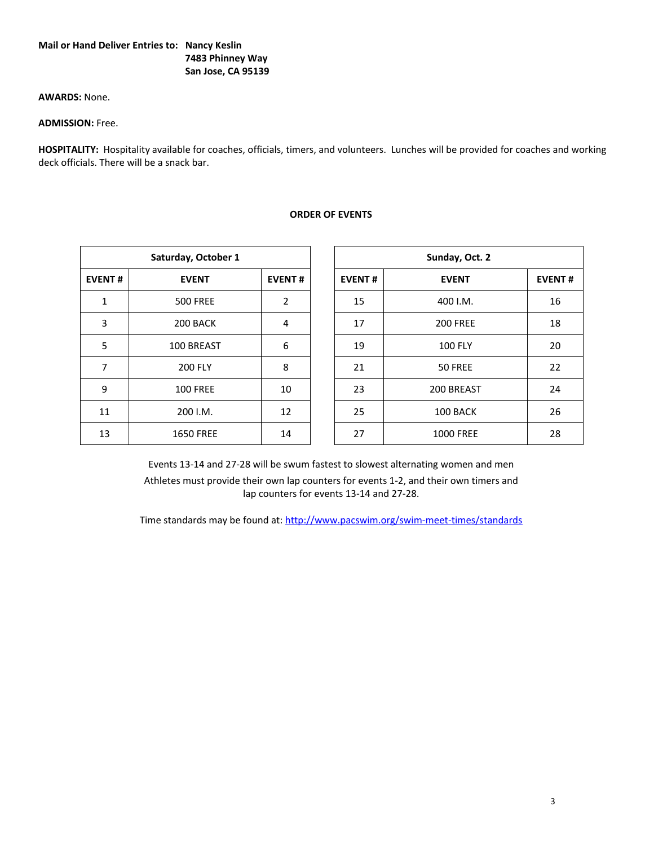# **Mail or Hand Deliver Entries to: Nancy Keslin 7483 Phinney Way San Jose, CA 95139**

# **AWARDS:** None.

# **ADMISSION:** Free.

**HOSPITALITY:** Hospitality available for coaches, officials, timers, and volunteers. Lunches will be provided for coaches and working deck officials. There will be a snack bar.

|               | Saturday, October 1 |                | Sunday, Oct. 2 |                  |
|---------------|---------------------|----------------|----------------|------------------|
| <b>EVENT#</b> | <b>EVENT</b>        | <b>EVENT#</b>  | <b>EVENT#</b>  | <b>EVENT</b>     |
| $\mathbf{1}$  | <b>500 FREE</b>     | $\overline{2}$ | 15             | 400 I.M.         |
| 3             | 200 BACK            | 4              | 17             | <b>200 FREE</b>  |
| 5             | 100 BREAST          | 6              | 19             | <b>100 FLY</b>   |
| 7             | <b>200 FLY</b>      | 8              | 21             | 50 FREE          |
| 9             | <b>100 FREE</b>     | 10             | 23             | 200 BREAST       |
| 11            | 200 I.M.            | 12             | 25             | 100 BACK         |
| 13            | <b>1650 FREE</b>    | 14             | 27             | <b>1000 FREE</b> |
|               |                     |                |                |                  |

#### **ORDER OF EVENTS**

| Saturday, October 1 |                  |                |  | Sunday, Oct. 2 |                  |    |  |  |
|---------------------|------------------|----------------|--|----------------|------------------|----|--|--|
| <b>EVENT#</b>       | <b>EVENT</b>     | <b>EVENT#</b>  |  | <b>EVENT#</b>  | <b>EVENT#</b>    |    |  |  |
| $\mathbf{1}$        | <b>500 FREE</b>  | $\overline{2}$ |  | 15             | 400 I.M.         | 16 |  |  |
| $\overline{3}$      | 200 BACK         | 4              |  | 17             | <b>200 FREE</b>  | 18 |  |  |
| 5                   | 100 BREAST       | 6              |  | 19             | <b>100 FLY</b>   | 20 |  |  |
| 7                   | <b>200 FLY</b>   | 8              |  | 21             | 50 FREE          | 22 |  |  |
| 9                   | <b>100 FREE</b>  | 10             |  | 23             | 200 BREAST       | 24 |  |  |
| 11                  | 200 I.M.         | 12             |  | 25             | 100 BACK         | 26 |  |  |
| 13                  | <b>1650 FREE</b> | 14             |  | 27             | <b>1000 FREE</b> | 28 |  |  |

Events 13-14 and 27-28 will be swum fastest to slowest alternating women and men Athletes must provide their own lap counters for events 1-2, and their own timers and lap counters for events 13-14 and 27-28.

Time standards may be found at:<http://www.pacswim.org/swim-meet-times/standards>